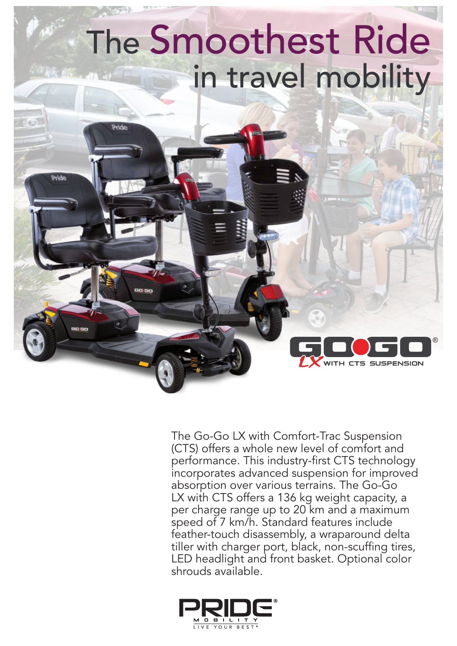## The Smoothest Ride in travel mobility

Pride

Pride

The Go-Go LX with Comfort-Trac Suspension (CTS) offers a whole new level of comfort and performance. This industry-first CTS technology incorporates advanced suspension for improved absorption over various terrains. The Go-Go LX with CTS offers a 136 kg weight capacity, a per charge range up to 20 km and a maximum speed of 7 km/h. Standard features include feather-touch disassembly, a wraparound delta tiller with charger port, black, non-scuffing tires, LED headlight and front basket. Optional color shrouds available.